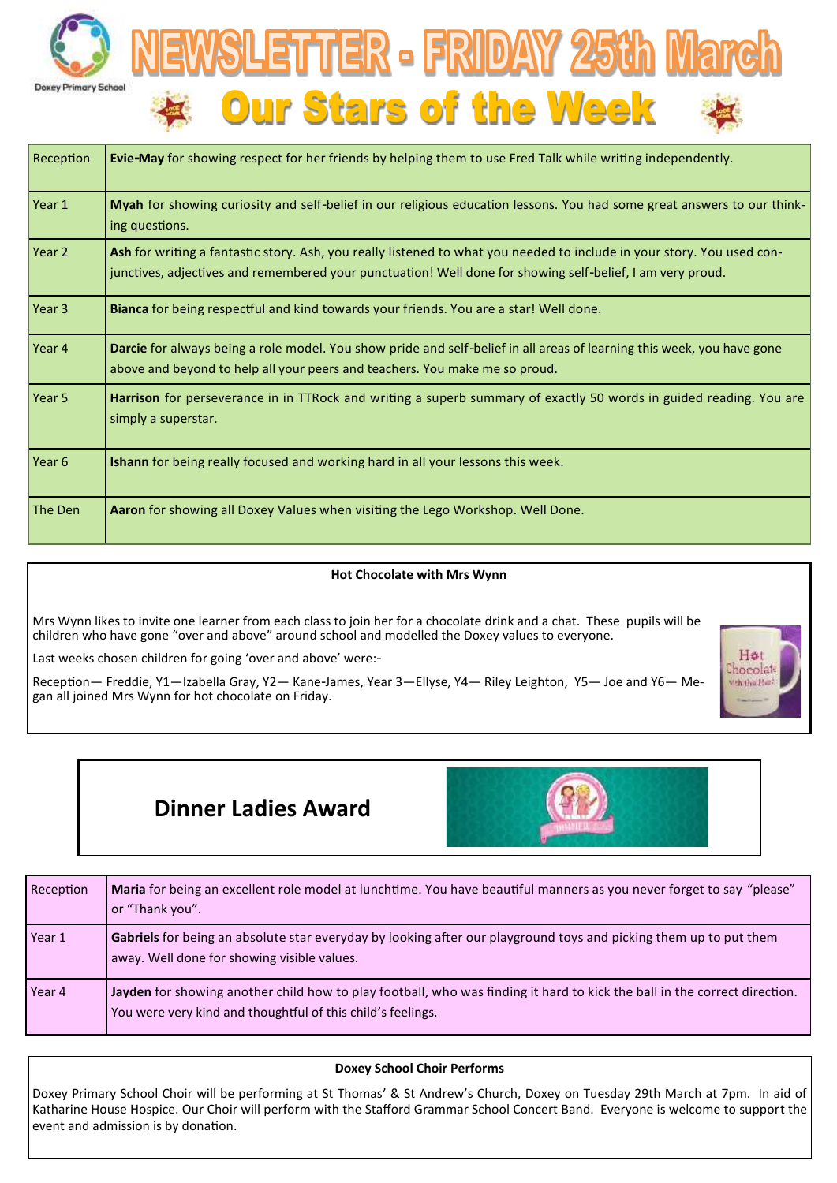



| Reception         | Evie-May for showing respect for her friends by helping them to use Fred Talk while writing independently.                                                                                                                           |  |  |
|-------------------|--------------------------------------------------------------------------------------------------------------------------------------------------------------------------------------------------------------------------------------|--|--|
| Year 1            | Myah for showing curiosity and self-belief in our religious education lessons. You had some great answers to our think-<br>ing questions.                                                                                            |  |  |
| Year 2            | Ash for writing a fantastic story. Ash, you really listened to what you needed to include in your story. You used con-<br>junctives, adjectives and remembered your punctuation! Well done for showing self-belief, I am very proud. |  |  |
| Year 3            | Bianca for being respectful and kind towards your friends. You are a star! Well done.                                                                                                                                                |  |  |
| Year 4            | Darcie for always being a role model. You show pride and self-belief in all areas of learning this week, you have gone<br>above and beyond to help all your peers and teachers. You make me so proud.                                |  |  |
| Year 5            | Harrison for perseverance in in TTRock and writing a superb summary of exactly 50 words in guided reading. You are<br>simply a superstar.                                                                                            |  |  |
| Year <sub>6</sub> | Ishann for being really focused and working hard in all your lessons this week.                                                                                                                                                      |  |  |
| The Den           | Aaron for showing all Doxey Values when visiting the Lego Workshop. Well Done.                                                                                                                                                       |  |  |

### **Hot Chocolate with Mrs Wynn**

Mrs Wynn likes to invite one learner from each class to join her for a chocolate drink and a chat. These pupils will be children who have gone "over and above" around school and modelled the Doxey values to everyone.

Last weeks chosen children for going 'over and above' were:-

Reception— Freddie, Y1—Izabella Gray, Y2— Kane-James, Year 3—Ellyse, Y4— Riley Leighton, Y5— Joe and Y6— Megan all joined Mrs Wynn for hot chocolate on Friday.



# **Dinner Ladies Award**



| Reception | Maria for being an excellent role model at lunchtime. You have beautiful manners as you never forget to say "please"<br>or "Thank you".                                                  |
|-----------|------------------------------------------------------------------------------------------------------------------------------------------------------------------------------------------|
| Year 1    | Gabriels for being an absolute star everyday by looking after our playground toys and picking them up to put them<br>away. Well done for showing visible values.                         |
| Year 4    | Jayden for showing another child how to play football, who was finding it hard to kick the ball in the correct direction.<br>You were very kind and thoughtful of this child's feelings. |

### **Doxey School Choir Performs**

Doxey Primary School Choir will be performing at St Thomas' & St Andrew's Church, Doxey on Tuesday 29th March at 7pm. In aid of Katharine House Hospice. Our Choir will perform with the Stafford Grammar School Concert Band. Everyone is welcome to support the event and admission is by donation.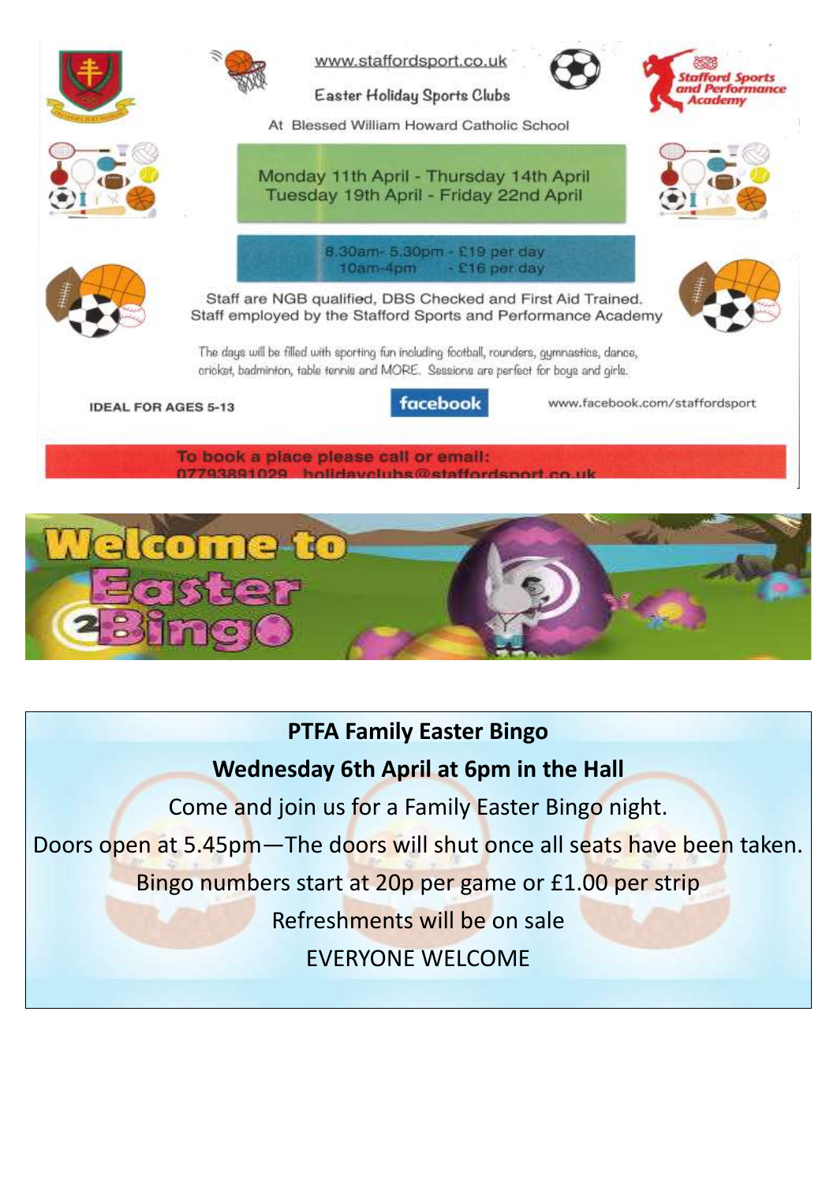

olidayolube@etaffor



# **PTFA Family Easter Bingo**

# **Wednesday 6th April at 6pm in the Hall**

Come and join us for a Family Easter Bingo night.

Doors open at 5.45pm—The doors will shut once all seats have been taken.

Bingo numbers start at 20p per game or £1.00 per strip

Refreshments will be on sale

EVERYONE WELCOME